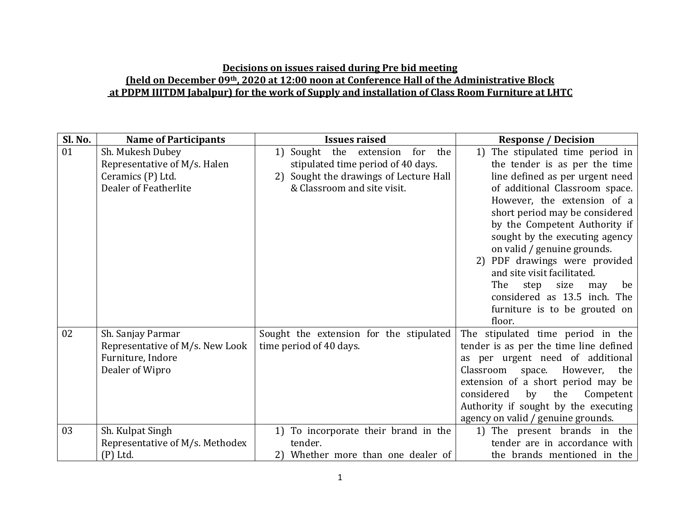## **Decisions on issues raised during Pre bid meeting (held on December 09th, 2020 at 12:00 noon at Conference Hall of the Administrative Block at PDPM IIITDM Jabalpur) for the work of Supply and installation of Class Room Furniture at LHTC**

| Sl. No. | <b>Name of Participants</b>                          | <b>Issues raised</b>                                               | <b>Response / Decision</b>                                                  |
|---------|------------------------------------------------------|--------------------------------------------------------------------|-----------------------------------------------------------------------------|
| 01      | Sh. Mukesh Dubey                                     | Sought the extension<br>the<br>1<br>for                            | 1) The stipulated time period in                                            |
|         | Representative of M/s. Halen                         | stipulated time period of 40 days.                                 | the tender is as per the time                                               |
|         | Ceramics (P) Ltd.                                    | Sought the drawings of Lecture Hall<br>2)                          | line defined as per urgent need                                             |
|         | Dealer of Featherlite                                | & Classroom and site visit.                                        | of additional Classroom space.                                              |
|         |                                                      |                                                                    | However, the extension of a                                                 |
|         |                                                      |                                                                    | short period may be considered                                              |
|         |                                                      |                                                                    | by the Competent Authority if                                               |
|         |                                                      |                                                                    | sought by the executing agency                                              |
|         |                                                      |                                                                    | on valid / genuine grounds.                                                 |
|         |                                                      |                                                                    | 2) PDF drawings were provided                                               |
|         |                                                      |                                                                    | and site visit facilitated.                                                 |
|         |                                                      |                                                                    | The<br>size<br>step<br>be<br>may                                            |
|         |                                                      |                                                                    | considered as 13.5 inch. The                                                |
|         |                                                      |                                                                    | furniture is to be grouted on<br>floor.                                     |
| 02      |                                                      |                                                                    |                                                                             |
|         | Sh. Sanjay Parmar<br>Representative of M/s. New Look | Sought the extension for the stipulated<br>time period of 40 days. | The stipulated time period in the<br>tender is as per the time line defined |
|         | Furniture, Indore                                    |                                                                    | as per urgent need of additional                                            |
|         | Dealer of Wipro                                      |                                                                    | space. However,<br>Classroom<br>the                                         |
|         |                                                      |                                                                    | extension of a short period may be                                          |
|         |                                                      |                                                                    | considered<br>by<br>the<br>Competent                                        |
|         |                                                      |                                                                    | Authority if sought by the executing                                        |
|         |                                                      |                                                                    | agency on valid / genuine grounds.                                          |
| 03      | Sh. Kulpat Singh                                     | 1) To incorporate their brand in the                               | 1) The present brands in the                                                |
|         | Representative of M/s. Methodex                      | tender.                                                            | tender are in accordance with                                               |
|         | (P) Ltd.                                             | Whether more than one dealer of<br>2)                              | the brands mentioned in the                                                 |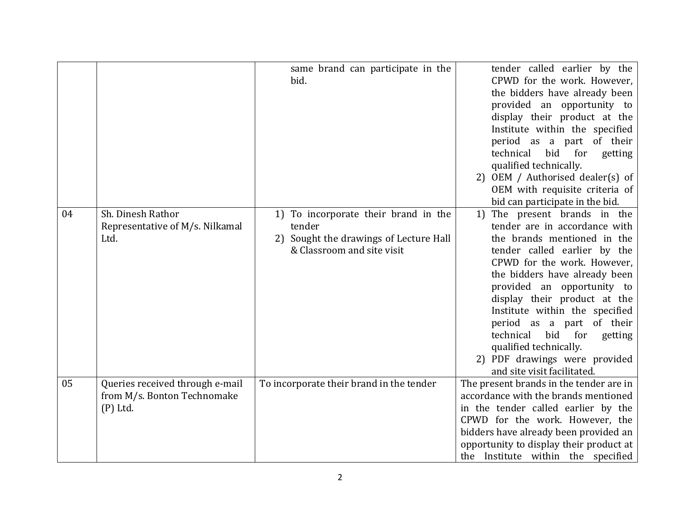|    |                                                                              | same brand can participate in the<br>bid.                                                                              | tender called earlier by the<br>CPWD for the work. However,<br>the bidders have already been<br>provided an opportunity to<br>display their product at the<br>Institute within the specified<br>period as a part of their<br>technical<br>for<br>bid<br>getting<br>qualified technically.<br>2) OEM / Authorised dealer(s) of<br>OEM with requisite criteria of<br>bid can participate in the bid.                                                        |
|----|------------------------------------------------------------------------------|------------------------------------------------------------------------------------------------------------------------|-----------------------------------------------------------------------------------------------------------------------------------------------------------------------------------------------------------------------------------------------------------------------------------------------------------------------------------------------------------------------------------------------------------------------------------------------------------|
| 04 | Sh. Dinesh Rathor<br>Representative of M/s. Nilkamal<br>Ltd.                 | 1) To incorporate their brand in the<br>tender<br>2) Sought the drawings of Lecture Hall<br>& Classroom and site visit | The present brands in the<br>1)<br>tender are in accordance with<br>the brands mentioned in the<br>tender called earlier by the<br>CPWD for the work. However,<br>the bidders have already been<br>provided an opportunity to<br>display their product at the<br>Institute within the specified<br>period as a part of their<br>technical<br>bid for<br>getting<br>qualified technically.<br>2) PDF drawings were provided<br>and site visit facilitated. |
| 05 | Queries received through e-mail<br>from M/s. Bonton Technomake<br>$(P)$ Ltd. | To incorporate their brand in the tender                                                                               | The present brands in the tender are in<br>accordance with the brands mentioned<br>in the tender called earlier by the<br>CPWD for the work. However, the<br>bidders have already been provided an<br>opportunity to display their product at<br>the Institute within the specified                                                                                                                                                                       |